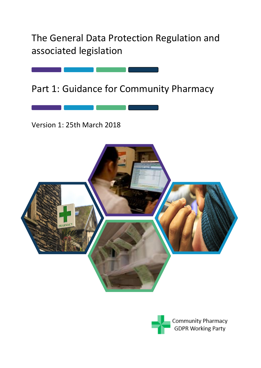The General Data Protection Regulation and associated legislation

Part 1: Guidance for Community Pharmacy

Version 1: 25th March 2018



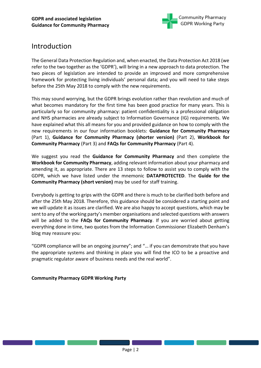

# Introduction

The General Data Protection Regulation and, when enacted, the Data Protection Act 2018 (we refer to the two together as the 'GDPR'), will bring in a new approach to data protection. The two pieces of legislation are intended to provide an improved and more comprehensive framework for protecting living individuals' personal data; and you will need to take steps before the 25th May 2018 to comply with the new requirements.

This may sound worrying, but the GDPR brings evolution rather than revolution and much of what becomes mandatory for the first time has been good practice for many years. This is particularly so for community pharmacy: patient confidentiality is a professional obligation and NHS pharmacies are already subject to Information Governance (IG) requirements. We have explained what this all means for you and provided guidance on how to comply with the new requirements in our four information booklets: **Guidance for Community Pharmacy**  (Part 1), **Guidance for Community Pharmacy (shorter version)** (Part 2), **Workbook for Community Pharmacy** (Part 3) and **FAQs for Community Pharmacy** (Part 4).

We suggest you read the **Guidance for Community Pharmacy** and then complete the **Workbook for Community Pharmacy**, adding relevant information about your pharmacy and amending it, as appropriate. There are 13 steps to follow to assist you to comply with the GDPR, which we have listed under the mnemonic **DATAPROTECTED**. The **Guide for the Community Pharmacy (short version)** may be used for staff training.

Everybody is getting to grips with the GDPR and there is much to be clarified both before and after the 25th May 2018. Therefore, this guidance should be considered a starting point and we will update it as issues are clarified. We are also happy to accept questions, which may be sent to any of the working party's member organisations and selected questions with answers will be added to the **FAQs for Community Pharmacy**. If you are worried about getting everything done in time, two quotes from the Information Commissioner Elizabeth Denham's blog may reassure you:

"GDPR compliance will be an ongoing journey"; and "… if you can demonstrate that you have the appropriate systems and thinking in place you will find the ICO to be a proactive and pragmatic regulator aware of business needs and the real world".

#### **Community Pharmacy GDPR Working Party**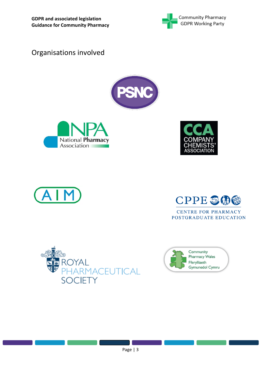

Organisations involved











**CENTRE FOR PHARMACY** POSTGRADUATE EDUCATION



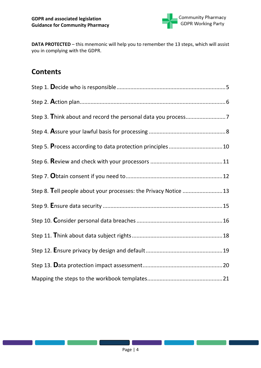

**DATA PROTECTED** – this mnemonic will help you to remember the 13 steps, which will assist you in complying with the GDPR.

## **Contents**

| Step 8. Tell people about your processes: the Privacy Notice 13 |  |
|-----------------------------------------------------------------|--|
|                                                                 |  |
|                                                                 |  |
|                                                                 |  |
|                                                                 |  |
|                                                                 |  |
|                                                                 |  |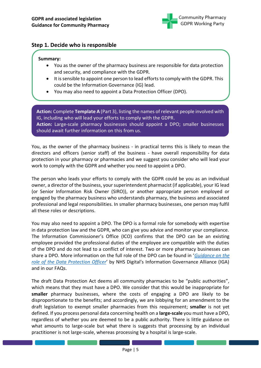

## <span id="page-4-0"></span>**Step 1. Decide who is responsible**

#### **Summary:**

- You as the owner of the pharmacy business are responsible for data protection and security, and compliance with the GDPR.
- It is sensible to appoint one person to lead efforts to comply with the GDPR. This could be the Information Governance (IG) lead.
- You may also need to appoint a Data Protection Officer (DPO).

**Action:** Complete **Template A** (Part 3), listing the names of relevant people involved with IG, including who will lead your efforts to comply with the GDPR. **Action:** Large-scale pharmacy businesses should appoint a DPO; smaller businesses should await further information on this from us.

You, as the owner of the pharmacy business - in practical terms this is likely to mean the directors and officers (senior staff) of the business - have overall responsibility for data protection in your pharmacy or pharmacies and we suggest you consider who will lead your work to comply with the GDPR and whether you need to appoint a DPO.

The person who leads your efforts to comply with the GDPR could be you as an individual owner, a director of the business, your superintendent pharmacist (if applicable), your IG lead (or Senior Information Risk Owner (SIRO)), or another appropriate person employed or engaged by the pharmacy business who understands pharmacy, the business and associated professional and legal responsibilities. In smaller pharmacy businesses, one person may fulfil all these roles or descriptions.

You may also need to appoint a DPO. The DPO is a formal role for somebody with expertise in data protection law and the GDPR, who can give you advice and monitor your compliance. The Information Commissioner's Office (ICO) confirms that the DPO can be an existing employee provided the professional duties of the employee are compatible with the duties of the DPO and do not lead to a conflict of interest. Two or more pharmacy businesses can share a DPO. More information on the full role of the DPO can be found in '*[Guidance on the](https://digital.nhs.uk/media/35501/IGA-Guidance-on-the-GDPR-DPO-V1-FINAL/pdf/IGA_-_Guidance_on_the_GDPR_DPO_V1_FINAL)  [role of the Data Protection Officer](https://digital.nhs.uk/media/35501/IGA-Guidance-on-the-GDPR-DPO-V1-FINAL/pdf/IGA_-_Guidance_on_the_GDPR_DPO_V1_FINAL)*' by NHS Digital's Information Governance Alliance (IGA) and in our FAQs.

The draft Data Protection Act deems all community pharmacies to be "public authorities", which means that they must have a DPO. We consider that this would be inappropriate for **smaller** pharmacy businesses, where the costs of engaging a DPO are likely to be disproportionate to the benefits; and accordingly, we are lobbying for an amendment to the draft legislation to exempt smaller pharmacies from this requirement; **smaller** is not yet defined. If you process personal data concerning health on a **large-scale** you must have a DPO, regardless of whether you are deemed to be a public authority. There is little guidance on what amounts to large-scale but what there is suggests that processing by an individual practitioner is not large-scale, whereas processing by a hospital is large-scale.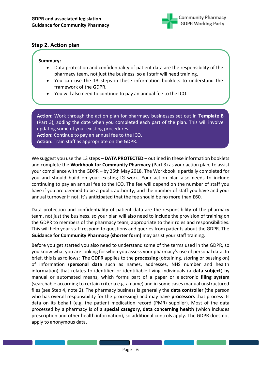

## <span id="page-5-0"></span>**Step 2. Action plan**

#### **Summary:**

- Data protection and confidentiality of patient data are the responsibility of the pharmacy team, not just the business, so all staff will need training.
- You can use the 13 steps in these information booklets to understand the framework of the GDPR.
- You will also need to continue to pay an annual fee to the ICO.

**Action:** Work through the action plan for pharmacy businesses set out in **Template B**  (Part 3), adding the date when you completed each part of the plan. This will involve updating some of your existing procedures. **Action:** Continue to pay an annual fee to the ICO.

**Action:** Train staff as appropriate on the GDPR.

We suggest you use the 13 steps – **DATA PROTECTED** – outlined in these information booklets and complete the **Workbook for Community Pharmacy** (Part 3) as your action plan, to assist your compliance with the GDPR – by 25th May 2018. The Workbook is partially completed for you and should build on your existing IG work. Your action plan also needs to include continuing to pay an annual fee to the ICO. The fee will depend on the number of staff you have if you are deemed to be a public authority; and the number of staff you have and your annual turnover if not. It's anticipated that the fee should be no more than £60.

Data protection and confidentiality of patient data are the responsibility of the pharmacy team, not just the business, so your plan will also need to include the provision of training on the GDPR to members of the pharmacy team, appropriate to their roles and responsibilities. This will help your staff respond to questions and queries from patients about the GDPR. The **Guidance for Community Pharmacy (shorter form)** may assist your staff training.

Before you get started you also need to understand some of the terms used in the GDPR, so you know what you are looking for when you assess your pharmacy's use of personal data. In brief, this is as follows: The GDPR applies to the **processing** (obtaining, storing or passing on) of information (**personal data** such as names, addresses, NHS number and health information) that relates to identified or identifiable living individuals (a **data subject**) by manual or automated means, which forms part of a paper or electronic **filing system** (searchable according to certain criteria e.g. a name) and in some cases manual unstructured files (see Step 4, note 2). The pharmacy business is generally the **data controller** (the person who has overall responsibility for the processing) and may have **processors** that process its data on its behalf (e.g. the patient medication record (PMR) supplier). Most of the data processed by a pharmacy is of a **special category, data concerning health** (which includes prescription and other health information), so additional controls apply. The GDPR does not apply to anonymous data.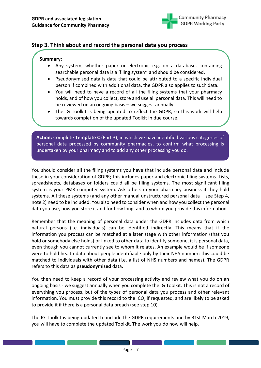

## <span id="page-6-0"></span>**Step 3. Think about and record the personal data you process**

#### **Summary:**

- Any system, whether paper or electronic e.g. on a database, containing searchable personal data is a 'filing system' and should be considered.
- Pseudonymised data is data that could be attributed to a specific individual person if combined with additional data, the GDPR also applies to such data.
- You will need to have a record of all the filing systems that your pharmacy holds, and of how you collect, store and use all personal data. This will need to be reviewed on an ongoing basis – we suggest annually.
- The IG Toolkit is being updated to reflect the GDPR, so this work will help towards completion of the updated Toolkit in due course.

**Action:** Complete **Template C** (Part 3), in which we have identified various categories of personal data processed by community pharmacies, to confirm what processing is undertaken by your pharmacy and to add any other processing you do.

You should consider all the filing systems you have that include personal data and include these in your consideration of GDPR; this includes paper and electronic filing systems. Lists, spreadsheets, databases or folders could all be filing systems. The most significant filing system is your PMR computer system. Ask others in your pharmacy business if they hold systems. All these systems (and any other manual unstructured personal data – see Step 4, note 2) need to be included. You also need to consider when and how you collect the personal data you use, how you store it and for how long, and to whom you provide this information.

Remember that the meaning of personal data under the GDPR includes data from which natural persons (i.e. individuals) can be identified indirectly. This means that if the information you process can be matched at a later stage with other information (that you hold or somebody else holds) or linked to other data to identify someone, it is personal data, even though you cannot currently see to whom it relates. An example would be if someone were to hold health data about people identifiable only by their NHS number; this could be matched to individuals with other data (i.e. a list of NHS numbers and names). The GDPR refers to this data as **pseudonymised** data.

You then need to keep a record of your processing activity and review what you do on an ongoing basis - we suggest annually when you complete the IG Toolkit. This is not a record of everything you process, but of the types of personal data you process and other relevant information. You must provide this record to the ICO, if requested, and are likely to be asked to provide it if there is a personal data breach (see step 10).

The IG Toolkit is being updated to include the GDPR requirements and by 31st March 2019, you will have to complete the updated Toolkit. The work you do now will help.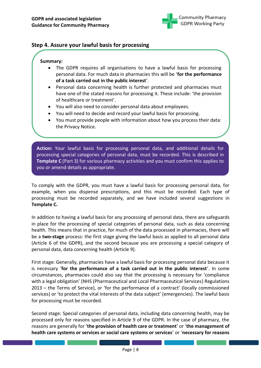

## <span id="page-7-0"></span>**Step 4. Assure your lawful basis for processing**

#### **Summary:**

- The GDPR requires all organisations to have a lawful basis for processing personal data. For much data in pharmacies this will be '**for the performance of a task carried out in the public interest**'.
- Personal data concerning health is further protected and pharmacies must have one of the stated reasons for processing it. These include: 'the provision of healthcare or treatment'.
- You will also need to consider personal data about employees.
- You will need to decide and record your lawful basis for processing.
- You must provide people with information about how you process their data: the Privacy Notice.

**Action:** Your lawful basis for processing personal data, and additional details for processing special categories of personal data, must be recorded. This is described in **Template C** (Part 3) for various pharmacy activities and you must confirm this applies to you or amend details as appropriate.

To comply with the GDPR, you must have a lawful basis for processing personal data, for example, when you dispense prescriptions, and this must be recorded. Each type of processing must be recorded separately, and we have included several suggestions in **Template C.**

In addition to having a lawful basis for any processing of personal data, there are safeguards in place for the processing of special categories of personal data, such as data concerning health. This means that in practice, for much of the data processed in pharmacies, there will be a **two-stage** process: the first stage giving the lawful basis as applied to all personal data (Article 6 of the GDPR), and the second because you are processing a special category of personal data, data concerning health (Article 9).

First stage: Generally, pharmacies have a lawful basis for processing personal data because it is necessary '**for the performance of a task carried out in the public interest**'. In some circumstances, pharmacies could also say that the processing is necessary for 'compliance with a legal obligation' (NHS (Pharmaceutical and Local Pharmaceutical Services) Regulations 2013 – the Terms of Service), or 'for the performance of a contract' (locally commissioned services) or 'to protect the vital interests of the data subject' (emergencies). The lawful basis for processing must be recorded.

Second stage: Special categories of personal data, including data concerning health, may be processed only for reasons specified in Article 9 of the GDPR. In the case of pharmacy, the reasons are generally for '**the provision of health care or treatment**' or '**the management of health care systems or services or social care systems or services**' or '**necessary for reasons**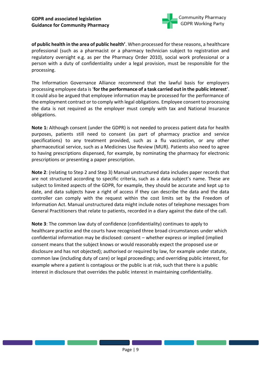

**of public health in the area of public health'**. When processed for these reasons, a healthcare professional (such as a pharmacist or a pharmacy technician subject to registration and regulatory oversight e.g. as per the Pharmacy Order 2010), social work professional or a person with a duty of confidentiality under a legal provision, must be responsible for the processing.

The Information Governance Alliance recommend that the lawful basis for employers processing employee data is '**for the performance of a task carried out in the public interest**'. It could also be argued that employee information may be processed for the performance of the employment contract or to comply with legal obligations. Employee consent to processing the data is not required as the employer must comply with tax and National Insurance obligations.

**Note 1:** Although consent (under the GDPR) is not needed to process patient data for health purposes, patients still need to consent (as part of pharmacy practice and service specifications) to any treatment provided, such as a flu vaccination, or any other pharmaceutical service, such as a Medicines Use Review (MUR). Patients also need to agree to having prescriptions dispensed, for example, by nominating the pharmacy for electronic prescriptions or presenting a paper prescription.

**Note 2**: (relating to Step 2 and Step 3) Manual unstructured data includes paper records that are not structured according to specific criteria, such as a data subject's name. These are subject to limited aspects of the GDPR, for example, they should be accurate and kept up to date, and data subjects have a right of access if they can describe the data and the data controller can comply with the request within the cost limits set by the Freedom of Information Act. Manual unstructured data might include notes of telephone messages from General Practitioners that relate to patients, recorded in a diary against the date of the call.

**Note 3**: The common law duty of confidence (confidentiality) continues to apply to healthcare practice and the courts have recognised three broad circumstances under which confidential information may be disclosed: consent – whether express or implied (implied consent means that the subject knows or would reasonably expect the proposed use or disclosure and has not objected); authorised or required by law, for example under statute, common law (including duty of care) or legal proceedings; and overriding public interest, for example where a patient is contagious or the public is at risk, such that there is a public interest in disclosure that overrides the public interest in maintaining confidentiality.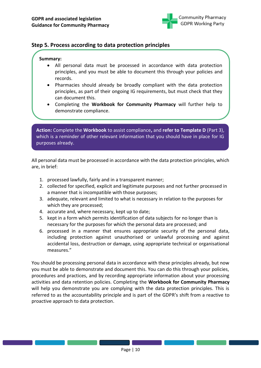

## <span id="page-9-0"></span>**Step 5. Process according to data protection principles**

#### **Summary:**

- All personal data must be processed in accordance with data protection principles, and you must be able to document this through your policies and records.
- Pharmacies should already be broadly compliant with the data protection principles, as part of their ongoing IG requirements, but must check that they can document this.
- Completing the **Workbook for Community Pharmacy** will further help to demonstrate compliance.

**Action:** Complete the **Workbook** to assist compliance**,** and **refer to Template D** (Part 3), which is a reminder of other relevant information that you should have in place for IG purposes already.

All personal data must be processed in accordance with the data protection principles, which are, in brief:

- 1. processed lawfully, fairly and in a transparent manner;
- 2. collected for specified, explicit and legitimate purposes and not further processed in a manner that is incompatible with those purposes;
- 3. adequate, relevant and limited to what is necessary in relation to the purposes for which they are processed;
- 4. accurate and, where necessary, kept up to date;
- 5. kept in a form which permits identification of data subjects for no longer than is necessary for the purposes for which the personal data are processed; and
- 6. processed in a manner that ensures appropriate security of the personal data, including protection against unauthorised or unlawful processing and against accidental loss, destruction or damage, using appropriate technical or organisational measures."

You should be processing personal data in accordance with these principles already, but now you must be able to demonstrate and document this. You can do this through your policies, procedures and practices, and by recording appropriate information about your processing activities and data retention policies. Completing the **Workbook for Community Pharmacy** will help you demonstrate you are complying with the data protection principles. This is referred to as the accountability principle and is part of the GDPR's shift from a reactive to proactive approach to data protection.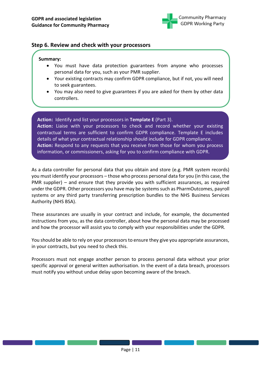

### <span id="page-10-0"></span>**Step 6. Review and check with your processors**

#### **Summary:**

- You must have data protection guarantees from anyone who processes personal data for you, such as your PMR supplier.
- Your existing contracts may confirm GDPR compliance, but if not, you will need to seek guarantees.
- You may also need to give guarantees if you are asked for them by other data controllers.

**Action:** Identify and list your processors in **Template E** (Part 3). **Action:** Liaise with your processors to check and record whether your existing contractual terms are sufficient to confirm GDPR compliance. Template E includes details of what your contractual relationship should include for GDPR compliance. **Action:** Respond to any requests that you receive from those for whom you process information, or commissioners, asking for you to confirm compliance with GDPR.

As a data controller for personal data that you obtain and store (e.g. PMR system records) you must identify your processors – those who process personal data for you (in this case, the PMR supplier) – and ensure that they provide you with sufficient assurances, as required under the GDPR. Other processors you have may be systems such as PharmOutcomes, payroll systems or any third party transferring prescription bundles to the NHS Business Services Authority (NHS BSA).

These assurances are usually in your contract and include, for example, the documented instructions from you, as the data controller, about how the personal data may be processed and how the processor will assist you to comply with your responsibilities under the GDPR.

You should be able to rely on your processors to ensure they give you appropriate assurances, in your contracts, but you need to check this.

Processors must not engage another person to process personal data without your prior specific approval or general written authorisation. In the event of a data breach, processors must notify you without undue delay upon becoming aware of the breach.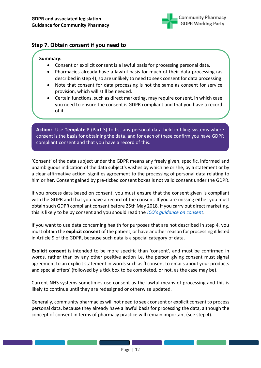

## <span id="page-11-0"></span>**Step 7. Obtain consent if you need to**

#### **Summary:**

- Consent or explicit consent is a lawful basis for processing personal data.
- Pharmacies already have a lawful basis for much of their data processing (as described in step 4), so are unlikely to need to seek consent for data processing.
- Note that consent for data processing is not the same as consent for service provision, which will still be needed.
- Certain functions, such as direct marketing, may require consent, in which case you need to ensure the consent is GDPR compliant and that you have a record of it.

**Action:** Use **Template F** (Part 3) to list any personal data held in filing systems where consent is the basis for obtaining the data, and for each of these confirm you have GDPR compliant consent and that you have a record of this.

'Consent' of the data subject under the GDPR means any freely given, specific, informed and unambiguous indication of the data subject's wishes by which he or she, by a statement or by a clear affirmative action, signifies agreement to the processing of personal data relating to him or her. Consent gained by pre-ticked consent boxes is not valid consent under the GDPR.

If you process data based on consent, you must ensure that the consent given is compliant with the GDPR and that you have a record of the consent. If you are missing either you must obtain such GDPR compliant consent before 25th May 2018. If you carry out direct marketing, this is likely to be by consent and you should read the *ICO's guid[ance on consent](https://ico.org.uk/for-organisations/guide-to-the-general-data-protection-regulation-gdpr/lawful-basis-for-processing/consent/)*.

If you want to use data concerning health for purposes that are not described in step 4, you must obtain the **explicit consent** of the patient, or have another reason for processing it listed in Article 9 of the GDPR, because such data is a special category of data.

**Explicit consent** is intended to be more specific than 'consent', and must be confirmed in words, rather than by any other positive action i.e. the person giving consent must signal agreement to an explicit statement in words such as 'I consent to emails about your products and special offers' (followed by a tick box to be completed, or not, as the case may be).

Current NHS systems sometimes use consent as the lawful means of processing and this is likely to continue until they are redesigned or otherwise updated.

Generally, community pharmacies will not need to seek consent or explicit consent to process personal data, because they already have a lawful basis for processing the data, although the concept of consent in terms of pharmacy practice will remain important (see step 4).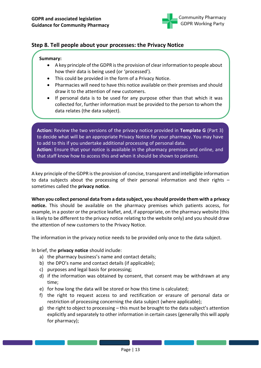

## <span id="page-12-0"></span>**Step 8. Tell people about your processes: the Privacy Notice**

#### **Summary:**

- A key principle of the GDPR is the provision of clear information to people about how their data is being used (or 'processed').
- This could be provided in the form of a Privacy Notice.
- Pharmacies will need to have this notice available on their premises and should draw it to the attention of new customers.
- If personal data is to be used for any purpose other than that which it was collected for, further information must be provided to the person to whom the data relates (the data subject).

**Action:** Review the two versions of the privacy notice provided in **Template G** (Part 3) to decide what will be an appropriate Privacy Notice for your pharmacy. You may have to add to this if you undertake additional processing of personal data. **Action:** Ensure that your notice is available in the pharmacy premises and online, and that staff know how to access this and when it should be shown to patients.

A key principle of the GDPR is the provision of concise, transparent and intelligible information to data subjects about the processing of their personal information and their rights  $$ sometimes called the **privacy notice**.

**When you collect personal data from a data subject, you should provide them with a privacy notice.** This should be available on the pharmacy premises which patients access, for example, in a poster or the practice leaflet, and, if appropriate, on the pharmacy website (this is likely to be different to the privacy notice relating to the website only) and you should draw the attention of new customers to the Privacy Notice.

The information in the privacy notice needs to be provided only once to the data subject.

In brief, the **privacy notice** should include:

- a) the pharmacy business's name and contact details;
- b) the DPO's name and contact details (if applicable);
- c) purposes and legal basis for processing;
- d) if the information was obtained by consent, that consent may be withdrawn at any time;
- e) for how long the data will be stored or how this time is calculated;
- f) the right to request access to and rectification or erasure of personal data or restriction of processing concerning the data subject (where applicable);
- g) the right to object to processing this must be brought to the data subject's attention explicitly and separately to other information in certain cases (generally this will apply for pharmacy);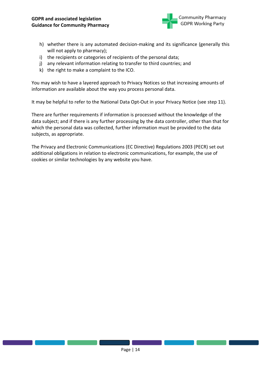

- h) whether there is any automated decision-making and its significance (generally this will not apply to pharmacy);
- i) the recipients or categories of recipients of the personal data;
- j) any relevant information relating to transfer to third countries; and
- k) the right to make a complaint to the ICO.

You may wish to have a layered approach to Privacy Notices so that increasing amounts of information are available about the way you process personal data.

It may be helpful to refer to the National Data Opt-Out in your Privacy Notice (see step 11).

There are further requirements if information is processed without the knowledge of the data subject; and if there is any further processing by the data controller, other than that for which the personal data was collected, further information must be provided to the data subjects, as appropriate.

The Privacy and Electronic Communications (EC Directive) Regulations 2003 (PECR) set out additional obligations in relation to electronic communications, for example, the use of cookies or similar technologies by any website you have.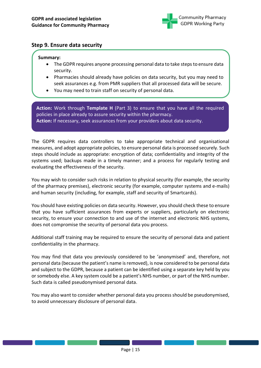

## <span id="page-14-0"></span>**Step 9. Ensure data security**

#### **Summary:**

- The GDPR requires anyone processing personal data to take steps to ensure data security.
- Pharmacies should already have policies on data security, but you may need to seek assurances e.g. from PMR suppliers that all processed data will be secure.
- You may need to train staff on security of personal data.

**Action:** Work through **Template H** (Part 3) to ensure that you have all the required policies in place already to assure security within the pharmacy. **Action:** If necessary, seek assurances from your providers about data security.

The GDPR requires data controllers to take appropriate technical and organisational measures, and adopt appropriate policies, to ensure personal data is processed securely. Such steps should include as appropriate: encryption of data; confidentiality and integrity of the systems used; backups made in a timely manner; and a process for regularly testing and evaluating the effectiveness of the security.

You may wish to consider such risks in relation to physical security (for example, the security of the pharmacy premises), electronic security (for example, computer systems and e-mails) and human security (including, for example, staff and security of Smartcards).

You should have existing policies on data security. However, you should check these to ensure that you have sufficient assurances from experts or suppliers, particularly on electronic security, to ensure your connection to and use of the internet and electronic NHS systems, does not compromise the security of personal data you process.

Additional staff training may be required to ensure the security of personal data and patient confidentiality in the pharmacy.

You may find that data you previously considered to be 'anonymised' and, therefore, not personal data (because the patient's name is removed), is now considered to be personal data and subject to the GDPR, because a patient can be identified using a separate key held by you or somebody else. A key system could be a patient's NHS number, or part of the NHS number. Such data is called pseudonymised personal data.

You may also want to consider whether personal data you process should be pseudonymised, to avoid unnecessary disclosure of personal data.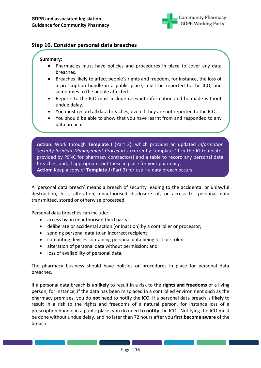

## <span id="page-15-0"></span>**Step 10. Consider personal data breaches**

#### **Summary:**

- Pharmacies must have policies and procedures in place to cover any data breaches.
- Breaches likely to affect people's rights and freedom, for instance, the loss of a prescription bundle in a public place, must be reported to the ICO, and sometimes to the people affected.
- Reports to the ICO must include relevant information and be made without undue delay.
- You must record all data breaches, even if they are not reported to the ICO.
- You should be able to show that you have learnt from and responded to any data breach.

**Action:** Work through **Template I** (Part 3), which provides an updated *Information Security Incident Management Procedures* (currently Template 11 in the IG templates provided by PSNC for pharmacy contractors) and a table to record any personal data breaches, and, if appropriate, put these in place for your pharmacy. **Action:** Keep a copy of **Template J** (Part 3) for use if a data breach occurs.

A 'personal data breach' means a breach of security leading to the accidental or unlawful destruction, loss, alteration, unauthorised disclosure of, or access to, personal data transmitted, stored or otherwise processed.

Personal data breaches can include:

- access by an unauthorised third party;
- deliberate or accidental action (or inaction) by a controller or processor;
- sending personal data to an incorrect recipient;
- computing devices containing personal data being lost or stolen;
- alteration of personal data without permission; and
- loss of availability of personal data.

The pharmacy business should have policies or procedures in place for personal data breaches.

If a personal data breach is **unlikely** to result in a risk to the **rights and freedoms** of a living person, for instance, if the data has been misplaced in a controlled environment such as the pharmacy premises, you do **not** need to notify the ICO. If a personal data breach is **likely** to result in a risk to the rights and freedoms of a natural person, for instance loss of a prescription bundle in a public place, you do need **to notify** the ICO. Notifying the ICO must be done without undue delay, and no later than 72 hours after you first **become aware** of the breach.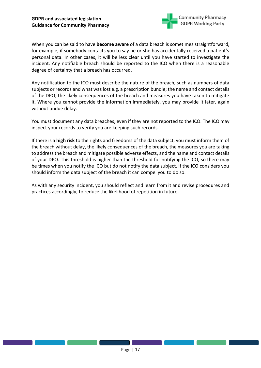

When you can be said to have **become aware** of a data breach is sometimes straightforward, for example, if somebody contacts you to say he or she has accidentally received a patient's personal data. In other cases, it will be less clear until you have started to investigate the incident. Any notifiable breach should be reported to the ICO when there is a reasonable degree of certainty that a breach has occurred.

Any notification to the ICO must describe the nature of the breach, such as numbers of data subjects or records and what was lost e.g. a prescription bundle; the name and contact details of the DPO; the likely consequences of the breach and measures you have taken to mitigate it. Where you cannot provide the information immediately, you may provide it later, again without undue delay.

You must document any data breaches, even if they are not reported to the ICO. The ICO may inspect your records to verify you are keeping such records.

If there is a **high risk** to the rights and freedoms of the data subject, you must inform them of the breach without delay, the likely consequences of the breach, the measures you are taking to address the breach and mitigate possible adverse effects, and the name and contact details of your DPO. This threshold is higher than the threshold for notifying the ICO, so there may be times when you notify the ICO but do not notify the data subject. If the ICO considers you should inform the data subject of the breach it can compel you to do so.

As with any security incident, you should reflect and learn from it and revise procedures and practices accordingly, to reduce the likelihood of repetition in future.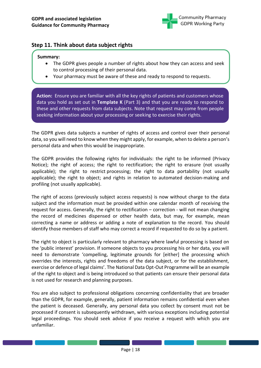

## <span id="page-17-0"></span>**Step 11. Think about data subject rights**

#### **Summary:**

- The GDPR gives people a number of rights about how they can access and seek to control processing of their personal data.
- Your pharmacy must be aware of these and ready to respond to requests.

**Action:** Ensure you are familiar with all the key rights of patients and customers whose data you hold as set out in **Template K** (Part 3) and that you are ready to respond to these and other requests from data subjects. Note that request may come from people seeking information about your processing or seeking to exercise their rights.

The GDPR gives data subjects a number of rights of access and control over their personal data, so you will need to know when they might apply, for example, when to delete a person's personal data and when this would be inappropriate.

The GDPR provides the following rights for individuals: the right to be informed (Privacy Notice); the right of access; the right to rectification; the right to erasure (not usually applicable); the right to restrict processing; the right to data portability (not usually applicable); the right to object; and rights in relation to automated decision-making and profiling (not usually applicable).

The right of access (previously subject access requests) is now without charge to the data subject and the information must be provided within one calendar month of receiving the request for access. Generally, the right to rectification – correction - will not mean changing the record of medicines dispensed or other health data, but may, for example, mean correcting a name or address or adding a note of explanation to the record. You should identify those members of staff who may correct a record if requested to do so by a patient.

The right to object is particularly relevant to pharmacy where lawful processing is based on the 'public interest' provision. If someone objects to you processing his or her data, you will need to demonstrate 'compelling, legitimate grounds for [either] the processing which overrides the interests, rights and freedoms of the data subject, or for the establishment, exercise or defence of legal claims'. The National Data Opt-Out Programme will be an example of the right to object and is being introduced so that patients can ensure their personal data is not used for research and planning purposes.

You are also subject to professional obligations concerning confidentiality that are broader than the GDPR, for example, generally, patient information remains confidential even when the patient is deceased. Generally, any personal data you collect by consent must not be processed if consent is subsequently withdrawn, with various exceptions including potential legal proceedings. You should seek advice if you receive a request with which you are unfamiliar.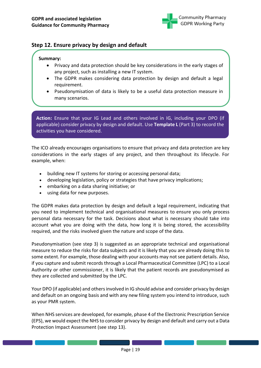

## <span id="page-18-0"></span>**Step 12. Ensure privacy by design and default**

#### **Summary:**

- Privacy and data protection should be key considerations in the early stages of any project, such as installing a new IT system.
- The GDPR makes considering data protection by design and default a legal requirement.
- Pseudonymisation of data is likely to be a useful data protection measure in many scenarios.

**Action:** Ensure that your IG Lead and others involved in IG, including your DPO (if applicable) consider privacy by design and default. Use **Template L** (Part 3) to record the activities you have considered.

The ICO already encourages organisations to ensure that privacy and data protection are key considerations in the early stages of any project, and then throughout its lifecycle. For example, when:

- building new IT systems for storing or accessing personal data;
- developing legislation, policy or strategies that have privacy implications;
- embarking on a data sharing initiative; or
- using data for new purposes.

The GDPR makes data protection by design and default a legal requirement, indicating that you need to implement technical and organisational measures to ensure you only process personal data necessary for the task. Decisions about what is necessary should take into account what you are doing with the data, how long it is being stored, the accessibility required, and the risks involved given the nature and scope of the data.

Pseudonymisation (see step 3) is suggested as an appropriate technical and organisational measure to reduce the risks for data subjects and it is likely that you are already doing this to some extent. For example, those dealing with your accounts may not see patient details. Also, if you capture and submit records through a Local Pharmaceutical Committee (LPC) to a Local Authority or other commissioner, it is likely that the patient records are pseudonymised as they are collected and submitted by the LPC.

Your DPO (if applicable) and others involved in IG should advise and consider privacy by design and default on an ongoing basis and with any new filing system you intend to introduce, such as your PMR system.

When NHS services are developed, for example, phase 4 of the Electronic Prescription Service (EPS), we would expect the NHS to consider privacy by design and default and carry out a Data Protection Impact Assessment (see step 13).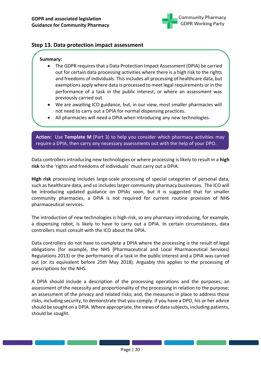

#### <span id="page-19-0"></span>**Step 13. Data protection impact assessment**

#### **Summary:**

- The GDPR requires that a Data Protection Impact Assessment (DPIA) be carried out for certain data processing activities where there is a high risk to the rights and freedoms of individuals. This includes all processing of healthcare data, but exemptions apply where data is processed to meet legal requirements or in the performance of a task in the public interest, or where an assessment was previously carried out.
- We are awaiting ICO guidance, but, in our view, most smaller pharmacies will not need to carry out a DPIA for normal dispensing practices.
- All pharmacies will need a DPIA when introducing any new technologies.

**Action:** Use **Template M** (Part 3) to help you consider which pharmacy activities may require a DPIA, then carry any necessary assessments out with the help of your DPO.

Data controllers introducing new technologies or where processing is likely to result in a **high risk** to the 'rights and freedoms of individuals' must carry out a DPIA.

**High risk** processing includes large-scale processing of special categories of personal data, such as healthcare data, and so includes larger community pharmacy businesses. The ICO will be introducing updated guidance on DPIAs soon, but it is suggested that for smaller community pharmacies, a DPIA is not required for current routine provision of NHS pharmaceutical services.

The introduction of new technologies is high-risk, so any pharmacy introducing, for example, a dispensing robot, is likely to have to carry out a DPIA. In certain circumstances, data controllers must consult with the ICO about the DPIA.

Data controllers do not have to complete a DPIA where the processing is the result of legal obligations (for example, the NHS (Pharmaceutical and Local Pharmaceutical Services) Regulations 2013) or the performance of a task in the public interest and a DPIA was carried out (or its equivalent before 25th May 2018). Arguably this applies to the processing of prescriptions for the NHS.

A DPIA should include a description of the processing operations and the purposes; an assessment of the necessity and proportionality of the processing in relation to the purpose; an assessment of the privacy and related risks; and, the measures in place to address those risks, including security, to demonstrate that you comply. If you have a DPO, his or her advice should be sought on a DPIA. Where appropriate, the views of data subjects, including patients, should be sought.